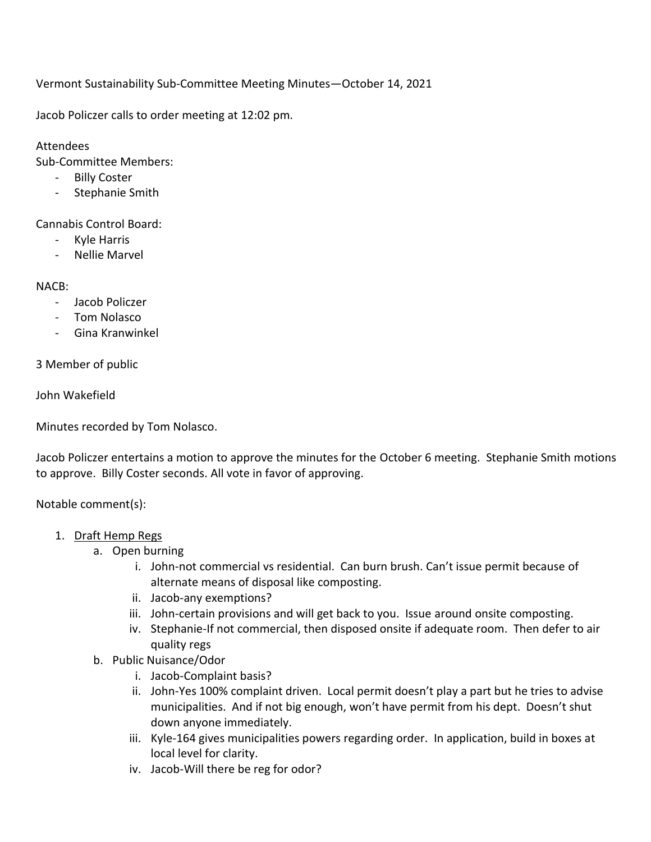Vermont Sustainability Sub-Committee Meeting Minutes—October 14, 2021

Jacob Policzer calls to order meeting at 12:02 pm.

## Attendees

Sub-Committee Members:

- Billy Coster
- Stephanie Smith

Cannabis Control Board:

- Kyle Harris
- Nellie Marvel

## NACB:

- Jacob Policzer
- Tom Nolasco
- Gina Kranwinkel

3 Member of public

John Wakefield

Minutes recorded by Tom Nolasco.

Jacob Policzer entertains a motion to approve the minutes for the October 6 meeting. Stephanie Smith motions to approve. Billy Coster seconds. All vote in favor of approving.

Notable comment(s):

- 1. Draft Hemp Regs
	- a. Open burning
		- i. John-not commercial vs residential. Can burn brush. Can't issue permit because of alternate means of disposal like composting.
		- ii. Jacob-any exemptions?
		- iii. John-certain provisions and will get back to you. Issue around onsite composting.
		- iv. Stephanie-If not commercial, then disposed onsite if adequate room. Then defer to air quality regs
	- b. Public Nuisance/Odor
		- i. Jacob-Complaint basis?
		- ii. John-Yes 100% complaint driven. Local permit doesn't play a part but he tries to advise municipalities. And if not big enough, won't have permit from his dept. Doesn't shut down anyone immediately.
		- iii. Kyle-164 gives municipalities powers regarding order. In application, build in boxes at local level for clarity.
		- iv. Jacob-Will there be reg for odor?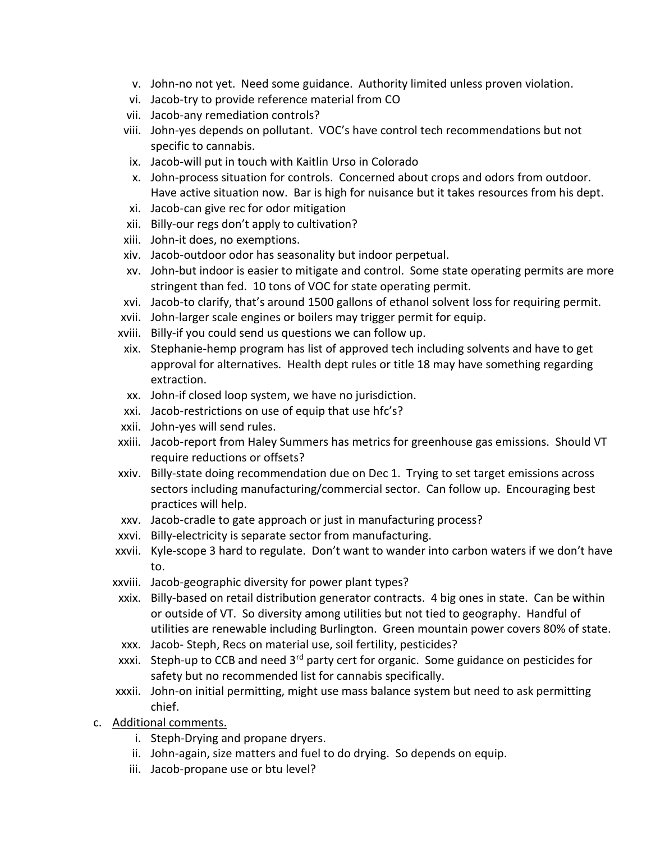- v. John-no not yet. Need some guidance. Authority limited unless proven violation.
- vi. Jacob-try to provide reference material from CO
- vii. Jacob-any remediation controls?
- viii. John-yes depends on pollutant. VOC's have control tech recommendations but not specific to cannabis.
- ix. Jacob-will put in touch with Kaitlin Urso in Colorado
- x. John-process situation for controls. Concerned about crops and odors from outdoor. Have active situation now. Bar is high for nuisance but it takes resources from his dept.
- xi. Jacob-can give rec for odor mitigation
- xii. Billy-our regs don't apply to cultivation?
- xiii. John-it does, no exemptions.
- xiv. Jacob-outdoor odor has seasonality but indoor perpetual.
- xv. John-but indoor is easier to mitigate and control. Some state operating permits are more stringent than fed. 10 tons of VOC for state operating permit.
- xvi. Jacob-to clarify, that's around 1500 gallons of ethanol solvent loss for requiring permit.
- xvii. John-larger scale engines or boilers may trigger permit for equip.
- xviii. Billy-if you could send us questions we can follow up.
- xix. Stephanie-hemp program has list of approved tech including solvents and have to get approval for alternatives. Health dept rules or title 18 may have something regarding extraction.
- xx. John-if closed loop system, we have no jurisdiction.
- xxi. Jacob-restrictions on use of equip that use hfc's?
- xxii. John-yes will send rules.
- xxiii. Jacob-report from Haley Summers has metrics for greenhouse gas emissions. Should VT require reductions or offsets?
- xxiv. Billy-state doing recommendation due on Dec 1. Trying to set target emissions across sectors including manufacturing/commercial sector. Can follow up. Encouraging best practices will help.
- xxv. Jacob-cradle to gate approach or just in manufacturing process?
- xxvi. Billy-electricity is separate sector from manufacturing.
- xxvii. Kyle-scope 3 hard to regulate. Don't want to wander into carbon waters if we don't have to.
- xxviii. Jacob-geographic diversity for power plant types?
- xxix. Billy-based on retail distribution generator contracts. 4 big ones in state. Can be within or outside of VT. So diversity among utilities but not tied to geography. Handful of utilities are renewable including Burlington. Green mountain power covers 80% of state.
- xxx. Jacob- Steph, Recs on material use, soil fertility, pesticides?
- xxxi. Steph-up to CCB and need 3<sup>rd</sup> party cert for organic. Some guidance on pesticides for safety but no recommended list for cannabis specifically.
- xxxii. John-on initial permitting, might use mass balance system but need to ask permitting chief.
- c. Additional comments.
	- i. Steph-Drying and propane dryers.
	- ii. John-again, size matters and fuel to do drying. So depends on equip.
	- iii. Jacob-propane use or btu level?